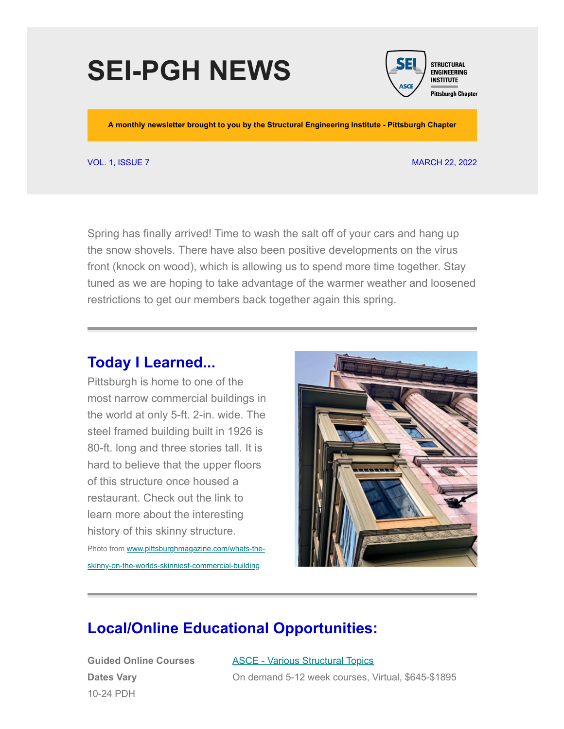## **SEI-PGH NEWS**



**A monthly newsletter brought to you by the Structural Engineering Institute - Pittsburgh Chapter**

#### VOL. 1, ISSUE 7 MARCH 22, 2022

Spring has finally arrived! Time to wash the salt off of your cars and hang up the snow shovels. There have also been positive developments on the virus front (knock on wood), which is allowing us to spend more time together. Stay tuned as we are hoping to take advantage of the warmer weather and loosened restrictions to get our members back together again this spring.

### **Today I Learned...**

Pittsburgh is home to one of the most narrow commercial buildings in the world at only 5-ft. 2-in. wide. The steel framed building built in 1926 is 80-ft. long and three stories tall. It is hard to believe that the upper floors of this structure once housed a restaurant. Check out the link to learn more about the interesting history of this skinny structure. Photo from www.pittsburghmagazine.com/whats-the-

[skinny-on-the-worlds-skinniest-commercial-building](https://www.pittsburghmagazine.com/whats-the-skinny-on-the-worlds-skinniest-commercial-building/)

# **Local/Online Educational Opportunities:**

**Guided Online Courses Dates Vary** 10-24 PDH

ASCE - [Various Structural Topics](https://www.asce.org/education-and-events/explore-education/guided-online-courses) On demand 5-12 week courses, Virtual, \$645-\$1895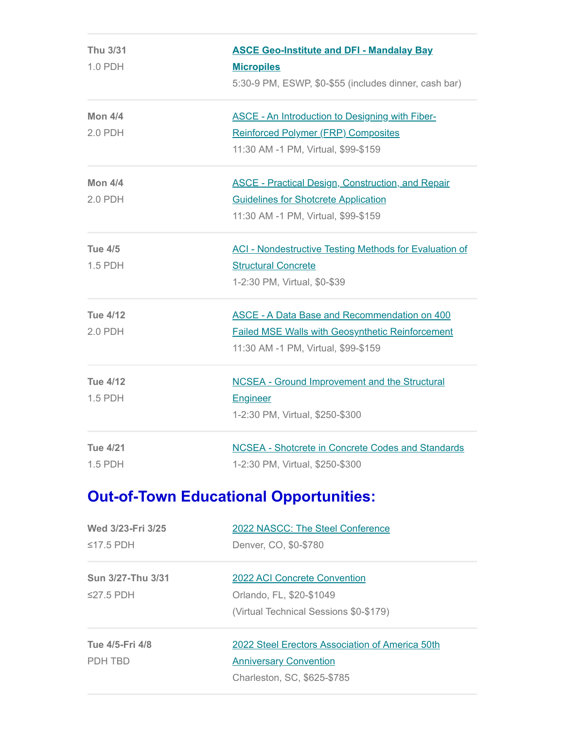| <b>Thu 3/31</b><br>1.0 PDH | <b>ASCE Geo-Institute and DFI - Mandalay Bay</b><br><b>Micropiles</b><br>5:30-9 PM, ESWP, \$0-\$55 (includes dinner, cash bar)                        |
|----------------------------|-------------------------------------------------------------------------------------------------------------------------------------------------------|
| <b>Mon 4/4</b><br>2.0 PDH  | <b>ASCE - An Introduction to Designing with Fiber-</b><br><b>Reinforced Polymer (FRP) Composites</b><br>11:30 AM -1 PM, Virtual, \$99-\$159           |
| <b>Mon 4/4</b><br>2.0 PDH  | <b>ASCE - Practical Design, Construction, and Repair</b><br><b>Guidelines for Shotcrete Application</b><br>11:30 AM -1 PM, Virtual, \$99-\$159        |
| <b>Tue 4/5</b><br>1.5 PDH  | <b>ACI - Nondestructive Testing Methods for Evaluation of</b><br><b>Structural Concrete</b><br>1-2:30 PM, Virtual, \$0-\$39                           |
| <b>Tue 4/12</b><br>2.0 PDH | <b>ASCE - A Data Base and Recommendation on 400</b><br><b>Failed MSE Walls with Geosynthetic Reinforcement</b><br>11:30 AM -1 PM, Virtual, \$99-\$159 |
| <b>Tue 4/12</b><br>1.5 PDH | <b>NCSEA - Ground Improvement and the Structural</b><br>Engineer<br>1-2:30 PM, Virtual, \$250-\$300                                                   |
| <b>Tue 4/21</b><br>1.5 PDH | <b>NCSEA - Shotcrete in Concrete Codes and Standards</b><br>1-2:30 PM, Virtual, \$250-\$300                                                           |

## **Out-of-Town Educational Opportunities:**

| Wed 3/23-Fri 3/25 | 2022 NASCC: The Steel Conference                |
|-------------------|-------------------------------------------------|
| $\leq$ 17.5 PDH   | Denver, CO, \$0-\$780                           |
| Sun 3/27-Thu 3/31 | 2022 ACI Concrete Convention                    |
| $\leq$ 27.5 PDH   | Orlando, FL, \$20-\$1049                        |
|                   | (Virtual Technical Sessions \$0-\$179)          |
| Tue 4/5-Fri 4/8   | 2022 Steel Erectors Association of America 50th |
| PDH TBD           | <b>Anniversary Convention</b>                   |
|                   | Charleston, SC, \$625-\$785                     |